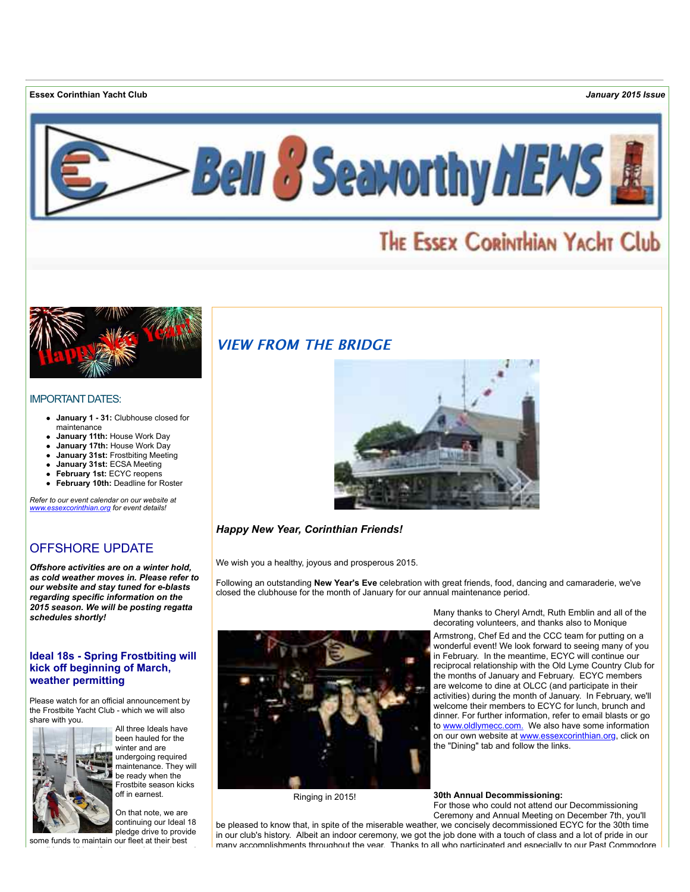**Essex Corinthian Yacht Club** *January 2015 Issue*



# THE ESSEX CORINTHIAN YACHT Club



#### IMPORTANT DATES:

- **January 1 31:** Clubhouse closed for maintenance
- **January 11th:** House Work Day
- **January 17th:** House Work Day
- **January 31st:** Frostbiting Meeting
- **January 31st:** ECSA Meeting
- **February 1st:** ECYC reopens
- **February 10th:** Deadline for Roster  $\bullet$

*Refer to our event calendar on our website at [www.essexcorinthian.org](http://r20.rs6.net/tn.jsp?f=001hLVYwhlnxooKeyYi_3JbXfVXe1nrZ0WjmUxJ7K1hEdidcYwVHDntvIvfuQG3OeRWR53TWPL07D9YrbwrwszMPzcHfRJ2jXVErBapOnnImbQW80rRWRFJc_lsF5YRUdnE5h4sfTHQOvkjCtQQLrOFMNcKqnJa7TXUJHacaNOyH-giLBqTFA9axA==&c=l8QNxwGGDkEAibc5964K7rCec4Iw-ZugYI72pgEOT-EpXtFZEoe9YQ==&ch=6w0e4JBTO08ADRGPa9FoMNTlJIKa2sJDUU4tpboi6fTmaGUhw-WWVg==) for event details!*

## OFFSHORE UPDATE

*Offshore activities are on a winter hold, as cold weather moves in. Please refer to our website and stay tuned for e-blasts regarding specific information on the 2015 season. We will be posting regatta schedules shortly!*

#### **Ideal 18s - Spring Frostbiting will kick off beginning of March, weather permitting**

Please watch for an official announcement by the Frostbite Yacht Club - which we will also share with you.



All three Ideals have been hauled for the winter and are undergoing required maintenance. They will be ready when the Frostbite season kicks off in earnest.

On that note, we are continuing our Ideal 18 pledge drive to provide

some funds to maintain our fleet at their best

## **VIEW FROM THE BRIDGE**



*Happy New Year, Corinthian Friends!*

We wish you a healthy, joyous and prosperous 2015.

Following an outstanding **New Year's Eve** celebration with great friends, food, dancing and camaraderie, we've closed the clubhouse for the month of January for our annual maintenance period.



Many thanks to Cheryl Arndt, Ruth Emblin and all of the decorating volunteers, and thanks also to Monique

Armstrong, Chef Ed and the CCC team for putting on a wonderful event! We look forward to seeing many of you in February. In the meantime, ECYC will continue our reciprocal relationship with the Old Lyme Country Club for the months of January and February. ECYC members are welcome to dine at OLCC (and participate in their activities) during the month of January. In February, we'll welcome their members to ECYC for lunch, brunch and dinner. For further information, refer to email blasts or go to [www.oldlymecc.com.](http://r20.rs6.net/tn.jsp?f=001hLVYwhlnxooKeyYi_3JbXfVXe1nrZ0WjmUxJ7K1hEdidcYwVHDntvDirFS1e8_G-NUCadhM-wMRcwaNTzADGUG2NZ1eWY2VkhYUniH_LEvgN5j23D_HaOs_3XfhhZsoSjsdW_-Rt5IDCg69iEHHf4JCLnrieWzt7f-R0H2WhV-Q=&c=l8QNxwGGDkEAibc5964K7rCec4Iw-ZugYI72pgEOT-EpXtFZEoe9YQ==&ch=6w0e4JBTO08ADRGPa9FoMNTlJIKa2sJDUU4tpboi6fTmaGUhw-WWVg==) We also have some information on our own website at [www.essexcorinthian.org,](http://r20.rs6.net/tn.jsp?f=001hLVYwhlnxooKeyYi_3JbXfVXe1nrZ0WjmUxJ7K1hEdidcYwVHDntvIvfuQG3OeRWR53TWPL07D9YrbwrwszMPzcHfRJ2jXVErBapOnnImbQW80rRWRFJc_lsF5YRUdnE5h4sfTHQOvkjCtQQLrOFMNcKqnJa7TXUJHacaNOyH-giLBqTFA9axA==&c=l8QNxwGGDkEAibc5964K7rCec4Iw-ZugYI72pgEOT-EpXtFZEoe9YQ==&ch=6w0e4JBTO08ADRGPa9FoMNTlJIKa2sJDUU4tpboi6fTmaGUhw-WWVg==) click on the "Dining" tab and follow the links.

Ringing in 2015!

**30th Annual Decommissioning:**

For those who could not attend our Decommissioning Ceremony and Annual Meeting on December 7th, you'll be pleased to know that, in spite of the miserable weather, we concisely decommissioned ECYC for the 30th time

in our club's history. Albeit an indoor ceremony, we got the job done with a touch of class and a lot of pride in our many accomplishments throughout the year. Thanks to all who participated and especially to our Past Commodore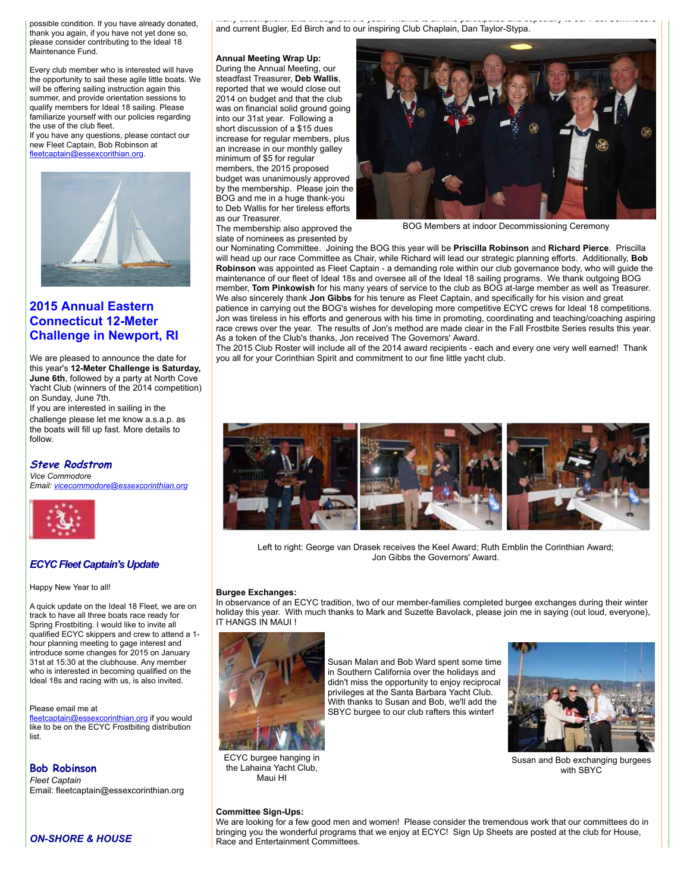possible condition. If you have already donated, thank you again, if you have not yet done so, please consider contributing to the Ideal 18 Maintenance Fund.

Every club member who is interested will have the opportunity to sail these agile little boats. We will be offering sailing instruction again this summer, and provide orientation sessions to qualify members for Ideal 18 sailing. Please familiarize yourself with our policies regarding the use of the club fleet.

If you have any questions, please contact our new Fleet Captain, Bob Robinson at [fleetcaptain@essexcorithian.org](mailto:fleetcaptain@essexcorithian.org).



## **2015 Annual Eastern Connecticut 12-Meter Challenge in Newport, RI**

We are pleased to announce the date for this year's **12-Meter Challenge is Saturday, June 6th**, followed by a party at North Cove Yacht Club (winners of the 2014 competition) on Sunday, June 7th.

If you are interested in sailing in the challenge please let me know a.s.a.p. as the boats will fill up fast. More details to follow.

## **Steve Rodstrom** *Vice Commodore*

*Email: [vicecommodore@essexcorinthian.org](mailto:vicecommodore@essexcorinthian.org)*



#### *ECYC Fleet Captain's Update*

Happy New Year to all!

A quick update on the Ideal 18 Fleet, we are on track to have all three boats race ready for Spring Frostbiting. I would like to invite all qualified ECYC skippers and crew to attend a 1 hour planning meeting to gage interest and introduce some changes for 2015 on January 31st at 15:30 at the clubhouse. Any member who is interested in becoming qualified on the Ideal 18s and racing with us, is also invited.

Please email me at

[fleetcaptain@essexcorinthian.org](mailto:fleetcaptain@essexcorinthian.org) if you would like to be on the ECYC Frostbiting distribution list.

**Bob Robinson**  *Fleet Captain*

Email: fleetcaptain@essexcorinthian.org

many accomplishments throughout the year. Thanks to all who participated and especially to our Past Commodore and current Bugler, Ed Birch and to our inspiring Club Chaplain, Dan Taylor-Stypa.

**Annual Meeting Wrap Up:** During the Annual Meeting, our steadfast Treasurer, **Deb Wallis**, reported that we would close out 2014 on budget and that the club was on financial solid ground going into our 31st year. Following a short discussion of a \$15 dues increase for regular members, plus an increase in our monthly galley minimum of \$5 for regular members, the 2015 proposed budget was unanimously approved by the membership. Please join the BOG and me in a huge thank-you to Deb Wallis for her tireless efforts as our Treasurer.

The membership also approved the

BOG Members at indoor Decommissioning Ceremony

slate of nominees as presented by our Nominating Committee. Joining the BOG this year will be **Priscilla Robinson** and **Richard Pierce**. Priscilla will head up our race Committee as Chair, while Richard will lead our strategic planning efforts. Additionally, **Bob Robinson** was appointed as Fleet Captain - a demanding role within our club governance body, who will guide the maintenance of our fleet of Ideal 18s and oversee all of the Ideal 18 sailing programs. We thank outgoing BOG member, **Tom Pinkowish** for his many years of service to the club as BOG at-large member as well as Treasurer. We also sincerely thank **Jon Gibbs** for his tenure as Fleet Captain, and specifically for his vision and great patience in carrying out the BOG's wishes for developing more competitive ECYC crews for Ideal 18 competitions. Jon was tireless in his efforts and generous with his time in promoting, coordinating and teaching/coaching aspiring race crews over the year. The results of Jon's method are made clear in the Fall Frostbite Series results this year. As a token of the Club's thanks, Jon received The Governors' Award.

The 2015 Club Roster will include all of the 2014 award recipients - each and every one very well earned! Thank you all for your Corinthian Spirit and commitment to our fine little yacht club.



Left to right: George van Drasek receives the Keel Award; Ruth Emblin the Corinthian Award; Jon Gibbs the Governors' Award.

#### **Burgee Exchanges:**

In observance of an ECYC tradition, two of our member-families completed burgee exchanges during their winter holiday this year. With much thanks to Mark and Suzette Bavolack, please join me in saying (out loud, everyone), IT HANGS IN MAUI !



ECYC burgee hanging in the Lahaina Yacht Club, Maui HI

Susan Malan and Bob Ward spent some time in Southern California over the holidays and didn't miss the opportunity to enjoy reciprocal privileges at the Santa Barbara Yacht Club. With thanks to Susan and Bob, we'll add the SBYC burgee to our club rafters this winter!



Susan and Bob exchanging burgees with SBYC

**Committee Sign-Ups:** 

We are looking for a few good men and women! Please consider the tremendous work that our committees do in bringing you the wonderful programs that we enjoy at ECYC! Sign Up Sheets are posted at the club for House, Race and Entertainment Committees.

*ON-SHORE & HOUSE*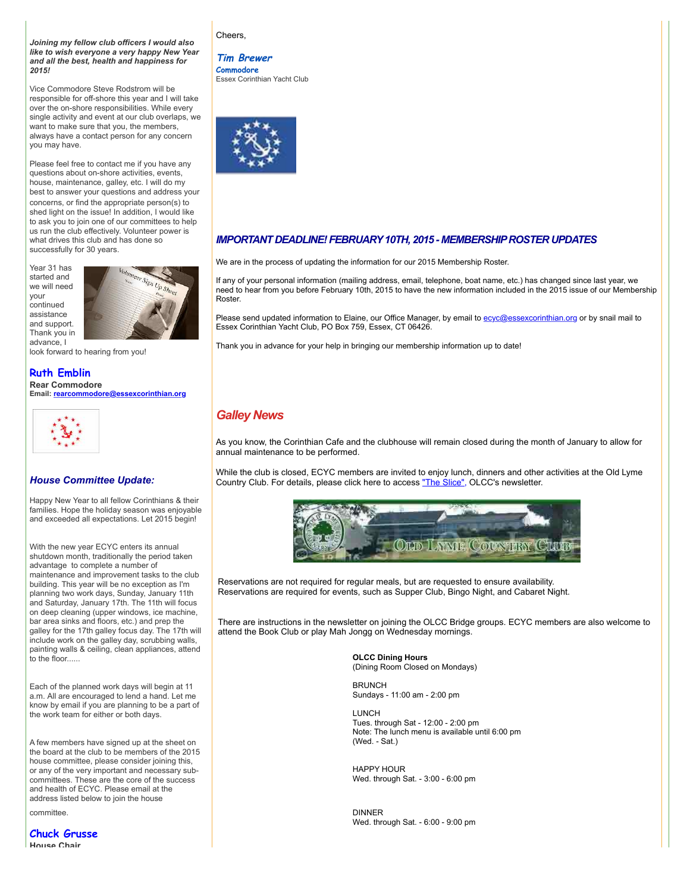*Joining my fellow club officers I would also like to wish everyone a very happy New Year and all the best, health and happiness for 2015!*

Vice Commodore Steve Rodstrom will be responsible for off-shore this year and I will take over the on-shore responsibilities. While every single activity and event at our club overlaps, we want to make sure that you, the members, always have a contact person for any concern you may have.

Please feel free to contact me if you have any questions about on-shore activities, events, house, maintenance, galley, etc. I will do my best to answer your questions and address your concerns, or find the appropriate person(s) to shed light on the issue! In addition, I would like to ask you to join one of our committees to help us run the club effectively. Volunteer power is what drives this club and has done so successfully for 30 years.

Year 31 has started and we will need your continued assistance and support. Thank you in advance, I



look forward to hearing from you!

## **Ruth Emblin**

**Rear Commodore Email: [rearcommodore@essexcorinthian.org](mailto:rearcommodore@essexcorinthian.org)**



#### *House Committee Update:*

Happy New Year to all fellow Corinthians & their families. Hope the holiday season was enjoyable and exceeded all expectations. Let 2015 begin!

With the new year ECYC enters its annual shutdown month, traditionally the period taken advantage to complete a number of maintenance and improvement tasks to the club building. This year will be no exception as I'm planning two work days, Sunday, January 11th and Saturday, January 17th. The 11th will focus on deep cleaning (upper windows, ice machine, bar area sinks and floors, etc.) and prep the galley for the 17th galley focus day. The 17th will include work on the galley day, scrubbing walls, painting walls & ceiling, clean appliances, attend to the floor.

Each of the planned work days will begin at 11 a.m. All are encouraged to lend a hand. Let me know by email if you are planning to be a part of the work team for either or both days.

A few members have signed up at the sheet on the board at the club to be members of the 2015 house committee, please consider joining this, or any of the very important and necessary subcommittees. These are the core of the success and health of ECYC. Please email at the address listed below to join the house

committee.

**Chuck Grusse House Chair**

#### Cheers,

### **Tim Brewer**

**Commodore** Essex Corinthian Yacht Club



#### *IMPORTANT DEADLINE! FEBRUARY 10TH, 2015 - MEMBERSHIP ROSTER UPDATES*

We are in the process of updating the information for our 2015 Membership Roster.

If any of your personal information (mailing address, email, telephone, boat name, etc.) has changed since last year, we need to hear from you before February 10th, 2015 to have the new information included in the 2015 issue of our Membership Roster.

Please send updated information to Elaine, our Office Manager, by email to [ecyc@essexcorinthian.org](mailto:ecyc@essexcorinthian.org) or by snail mail to Essex Corinthian Yacht Club, PO Box 759, Essex, CT 06426.

Thank you in advance for your help in bringing our membership information up to date!

## *Galley News*

As you know, the Corinthian Cafe and the clubhouse will remain closed during the month of January to allow for annual maintenance to be performed.

While the club is closed, ECYC members are invited to enjoy lunch, dinners and other activities at the Old Lyme Country Club. For details, please click here to access ["The Slice",](http://r20.rs6.net/tn.jsp?f=001hLVYwhlnxooKeyYi_3JbXfVXe1nrZ0WjmUxJ7K1hEdidcYwVHDntvIl1s8OAGRH1IlKH0GC8dKDLxTNpJDIsnDG2WexvukYrho7f0y_RhYspA8TiBJYdXv7PAbYf3LRletcg_7Co_lJ0f5D5dv3GKquov81KOmk1lctrEuEO6cTtqTBdjHvtPXMu8BeOOAkn7u0zWBsbuKvlz0C8-glz6kMUUiZaFui9cfzfPCpH9I67aIlNkLPEXtetRb200P02IiDRd1eWiz4=&c=l8QNxwGGDkEAibc5964K7rCec4Iw-ZugYI72pgEOT-EpXtFZEoe9YQ==&ch=6w0e4JBTO08ADRGPa9FoMNTlJIKa2sJDUU4tpboi6fTmaGUhw-WWVg==) OLCC's newsletter.



Reservations are not required for regular meals, but are requested to ensure availability. Reservations are required for events, such as Supper Club, Bingo Night, and Cabaret Night.

There are instructions in the newsletter on joining the OLCC Bridge groups. ECYC members are also welcome to attend the Book Club or play Mah Jongg on Wednesday mornings.

> **OLCC Dining Hours** (Dining Room Closed on Mondays)

**BRUNCH** Sundays - 11:00 am - 2:00 pm

LUNCH Tues. through Sat - 12:00 - 2:00 pm Note: The lunch menu is available until 6:00 pm (Wed. - Sat.)

HAPPY HOUR Wed. through Sat. - 3:00 - 6:00 pm

DINNER Wed. through Sat. - 6:00 - 9:00 pm